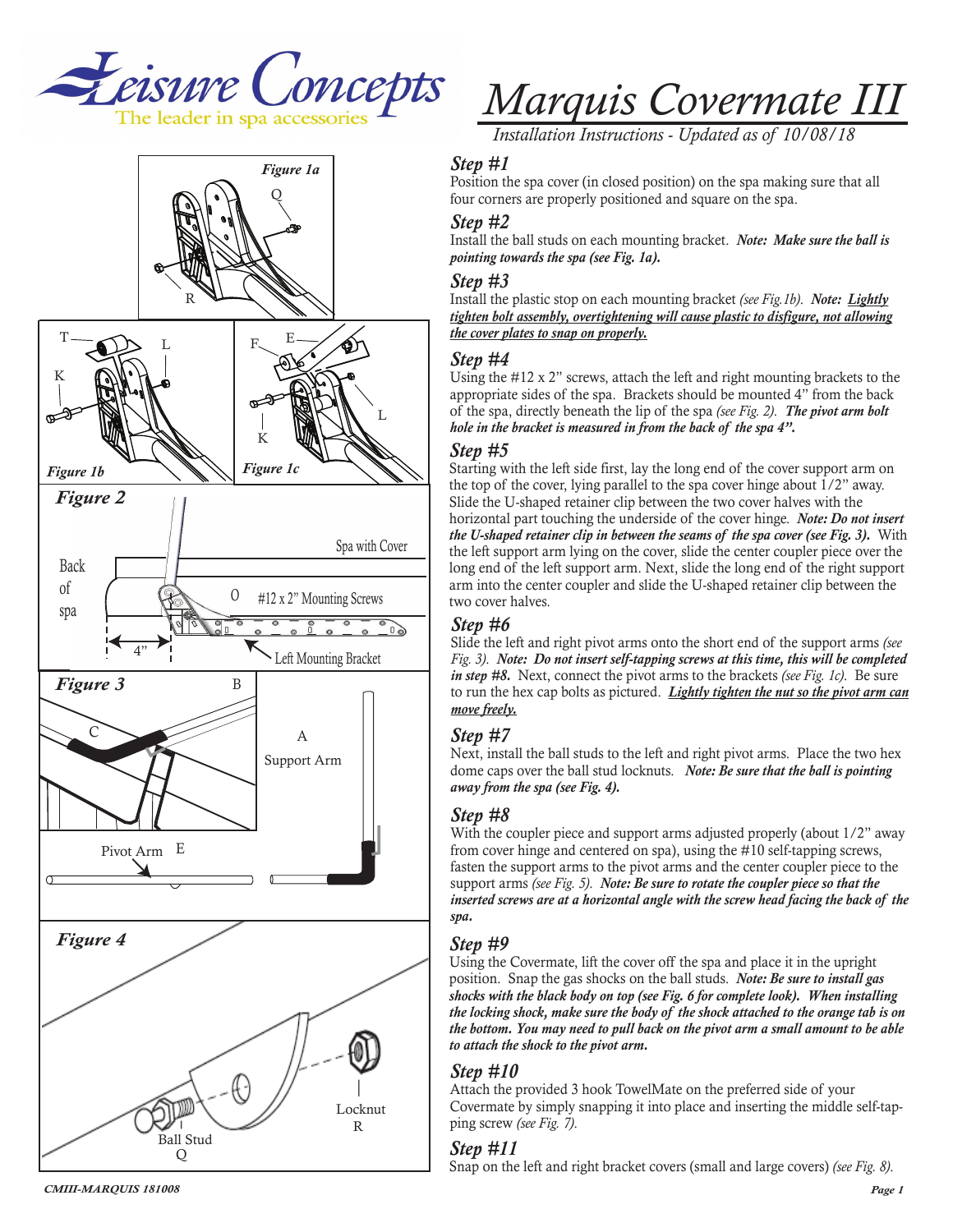



*Marquis Covermate III*

*Installation Instructions - Updated as of 10/08/18*

#### *Step #1*

Position the spa cover (in closed position) on the spa making sure that all four corners are properly positioned and square on the spa.

#### *Step #2*

Install the ball studs on each mounting bracket. *Note: Make sure the ball is pointing towards the spa (see Fig. 1a).*

#### *Step #3*

Install the plastic stop on each mounting bracket *(see Fig.1b)*. *Note: Lightly tighten bolt assembly, overtightening will cause plastic to disfigure, not allowing the cover plates to snap on properly.*

#### *Step #4*

Using the #12 x 2" screws, attach the left and right mounting brackets to the appropriate sides of the spa. Brackets should be mounted 4" from the back of the spa, directly beneath the lip of the spa *(see Fig. 2)*. *The pivot arm bolt hole in the bracket is measured in from the back of the spa 4".*

#### *Step #5*

Starting with the left side first, lay the long end of the cover support arm on the top of the cover, lying parallel to the spa cover hinge about 1/2" away. Slide the U-shaped retainer clip between the two cover halves with the horizontal part touching the underside of the cover hinge. *Note: Do not insert the U-shaped retainer clip in between the seams of the spa cover (see Fig. 3).* With the left support arm lying on the cover, slide the center coupler piece over the long end of the left support arm. Next, slide the long end of the right support arm into the center coupler and slide the U-shaped retainer clip between the two cover halves.

#### *Step #6*

Slide the left and right pivot arms onto the short end of the support arms *(see Fig. 3)*. *Note: Do not insert self-tapping screws at this time, this will be completed in step #8.* Next, connect the pivot arms to the brackets *(see Fig. 1c)*. Be sure to run the hex cap bolts as pictured. *Lightly tighten the nut so the pivot arm can move freely.*

## *Step #7*

Next, install the ball studs to the left and right pivot arms. Place the two hex dome caps over the ball stud locknuts. *Note: Be sure that the ball is pointing away from the spa (see Fig. 4).*

## *Step #8*

With the coupler piece and support arms adjusted properly (about  $1/2$ " away from cover hinge and centered on spa), using the #10 self-tapping screws, fasten the support arms to the pivot arms and the center coupler piece to the support arms *(see Fig. 5)*. *Note: Be sure to rotate the coupler piece so that the*  inserted screws are at a horizontal angle with the screw head facing the back of the *spa.* 

## *Step #9*

Using the Covermate, lift the cover off the spa and place it in the upright position. Snap the gas shocks on the ball studs. *Note: Be sure to install gas shocks with the black body on top (see Fig. 6 for complete look). When installing the locking shock, make sure the body of the shock attached to the orange tab is on the bottom. You may need to pull back on the pivot arm a small amount to be able to attach the shock to the pivot arm.*

## *Step #10*

Attach the provided 3 hook TowelMate on the preferred side of your Covermate by simply snapping it into place and inserting the middle self-tapping screw *(see Fig. 7)*.

## *Step #11*

Snap on the left and right bracket covers (small and large covers) *(see Fig. 8)*.